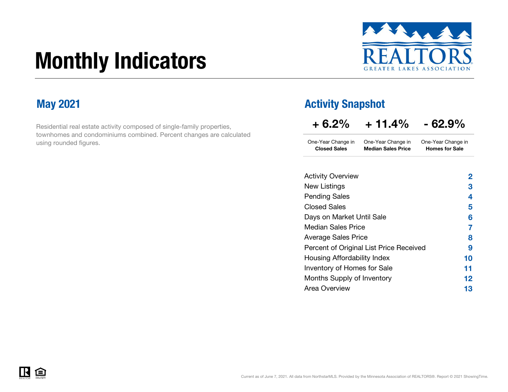# Monthly Indicators



Homes for Sale

Residential real estate activity composed of single-family properties, townhomes and condominiums combined. Percent changes are calculated using rounded figures.

### May 2021 **May 2021 Activity Snapshot**

Closed Sales Median Sales Price

| $+6.2%$            | $+11.4%$           | $-62.9%$           |
|--------------------|--------------------|--------------------|
| One-Year Change in | One-Year Change in | One-Year Change in |

| <b>Activity Overview</b>                | 2  |
|-----------------------------------------|----|
| New Listings                            | З  |
| <b>Pending Sales</b>                    | 4  |
| <b>Closed Sales</b>                     | 5  |
| Days on Market Until Sale               | 6  |
| Median Sales Price                      | 7  |
| <b>Average Sales Price</b>              | 8  |
| Percent of Original List Price Received | 9  |
| Housing Affordability Index             | 10 |
| Inventory of Homes for Sale             | 11 |
| Months Supply of Inventory              | 12 |
| Area Overview                           | 13 |
|                                         |    |

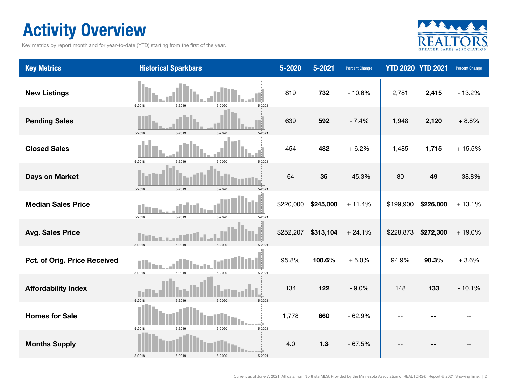### Activity Overview

Key metrics by report month and for year-to-date (YTD) starting from the first of the year.



| <b>Key Metrics</b>           | <b>Historical Sparkbars</b>                  | 5-2020    | 5-2021    | <b>Percent Change</b> |           | <b>YTD 2020 YTD 2021</b> | <b>Percent Change</b> |
|------------------------------|----------------------------------------------|-----------|-----------|-----------------------|-----------|--------------------------|-----------------------|
| <b>New Listings</b>          | 5-2019<br>5-2018<br>5-2020<br>5-2021         | 819       | 732       | $-10.6%$              | 2,781     | 2,415                    | $-13.2%$              |
| <b>Pending Sales</b>         | 5-2018<br>5-2019<br>5-2020<br>$5 - 202$      | 639       | 592       | $-7.4%$               | 1,948     | 2,120                    | $+8.8%$               |
| <b>Closed Sales</b>          | 5-2018<br>5-2019<br>5-2020<br>$5 - 2021$     | 454       | 482       | $+6.2%$               | 1,485     | 1,715                    | $+15.5%$              |
| <b>Days on Market</b>        | 5-2019<br>5-2018<br>$5 - 2020$<br>$5 - 202$  | 64        | 35        | $-45.3%$              | 80        | 49                       | $-38.8%$              |
| <b>Median Sales Price</b>    | 5-2018<br>5-2019<br>5-2020<br>$5 - 2021$     | \$220,000 | \$245,000 | $+11.4%$              | \$199,900 | \$226,000                | $+13.1%$              |
| <b>Avg. Sales Price</b>      | 5-2018<br>5-2010<br>5-2020<br>$5-202$        | \$252,207 | \$313,104 | $+24.1%$              | \$228,873 | \$272,300                | $+19.0%$              |
| Pct. of Orig. Price Received | 5-2018<br>5-2019<br>5-2020<br>5-2021         | 95.8%     | 100.6%    | $+5.0%$               | 94.9%     | 98.3%                    | $+3.6%$               |
| <b>Affordability Index</b>   | 5-2019<br>5-2018<br>$5 - 2020$<br>$5 - 2021$ | 134       | 122       | $-9.0%$               | 148       | 133                      | $-10.1%$              |
| <b>Homes for Sale</b>        | 5-2021<br>5-2018<br>5-2019<br>5-2020         | 1,778     | 660       | $-62.9%$              |           |                          |                       |
| <b>Months Supply</b>         | 5-2018<br>5-2019<br>5-2020<br>5-2021         | 4.0       | $1.3$     | $-67.5%$              |           |                          |                       |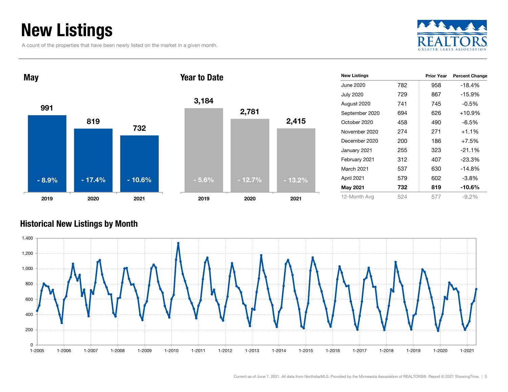### New Listings

A count of the properties that have been newly listed on the market in a given month.





#### Historical New Listings by Month

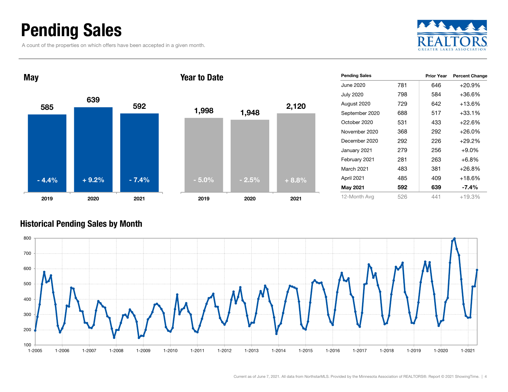### Pending Sales

A count of the properties on which offers have been accepted in a given month.





| <b>Pending Sales</b> |     | <b>Prior Year</b> | <b>Percent Change</b> |
|----------------------|-----|-------------------|-----------------------|
| June 2020            | 781 | 646               | $+20.9\%$             |
| <b>July 2020</b>     | 798 | 584               | +36.6%                |
| August 2020          | 729 | 642               | +13.6%                |
| September 2020       | 688 | 517               | +33.1%                |
| October 2020         | 531 | 433               | $+22.6%$              |
| November 2020        | 368 | 292               | $+26.0\%$             |
| December 2020        | 292 | 226               | $+29.2\%$             |
| January 2021         | 279 | 256               | $+9.0\%$              |
| February 2021        | 281 | 263               | $+6.8%$               |
| <b>March 2021</b>    | 483 | 381               | $+26.8\%$             |
| April 2021           | 485 | 409               | $+18.6%$              |
| <b>May 2021</b>      | 592 | 639               | $-7.4%$               |
| 12-Month Avg         | 526 | 441               | $+19.3%$              |

#### Historical Pending Sales by Month

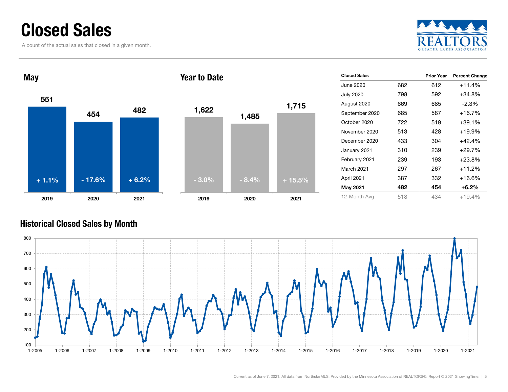### Closed Sales

A count of the actual sales that closed in a given month.





| <b>Closed Sales</b> |     | <b>Prior Year</b> | <b>Percent Change</b> |
|---------------------|-----|-------------------|-----------------------|
| June 2020           | 682 | 612               | $+11.4%$              |
| <b>July 2020</b>    | 798 | 592               | +34.8%                |
| August 2020         | 669 | 685               | $-2.3\%$              |
| September 2020      | 685 | 587               | $+16.7%$              |
| October 2020        | 722 | 519               | +39.1%                |
| November 2020       | 513 | 428               | +19.9%                |
| December 2020       | 433 | 304               | +42.4%                |
| January 2021        | 310 | 239               | $+29.7%$              |
| February 2021       | 239 | 193               | $+23.8%$              |
| <b>March 2021</b>   | 297 | 267               | $+11.2%$              |
| April 2021          | 387 | 332               | +16.6%                |
| May 2021            | 482 | 454               | $+6.2\%$              |
| 12-Month Avg        | 518 | 434               | $+19.4%$              |

#### Historical Closed Sales by Month

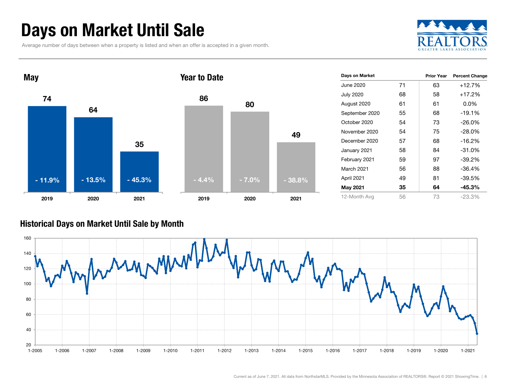### Days on Market Until Sale

Average number of days between when a property is listed and when an offer is accepted in a given month.





| Days on Market    |    | <b>Prior Year</b> | <b>Percent Change</b> |
|-------------------|----|-------------------|-----------------------|
| June 2020         | 71 | 63                | $+12.7%$              |
| <b>July 2020</b>  | 68 | 58                | $+17.2%$              |
| August 2020       | 61 | 61                | $0.0\%$               |
| September 2020    | 55 | 68                | $-19.1%$              |
| October 2020      | 54 | 73                | $-26.0\%$             |
| November 2020     | 54 | 75                | $-28.0\%$             |
| December 2020     | 57 | 68                | $-16.2%$              |
| January 2021      | 58 | 84                | $-31.0%$              |
| February 2021     | 59 | 97                | $-39.2%$              |
| <b>March 2021</b> | 56 | 88                | $-36.4%$              |
| April 2021        | 49 | 81                | $-39.5%$              |
| <b>May 2021</b>   | 35 | 64                | $-45.3%$              |
| 12-Month Avg      | 56 | 73                | $-23.3%$              |

#### Historical Days on Market Until Sale by Month

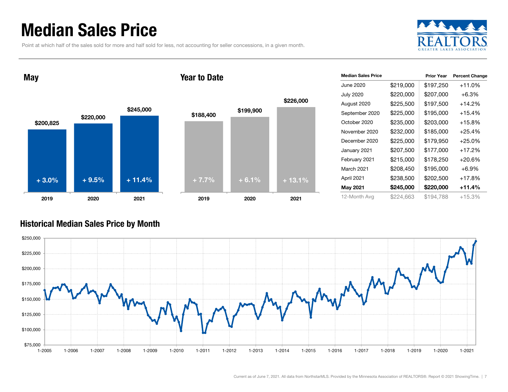### Median Sales Price

Point at which half of the sales sold for more and half sold for less, not accounting for seller concessions, in a given month.



\$200,825 \$220,000 May

2019

+ 3.0%





| <b>Median Sales Price</b> |           | <b>Prior Year</b> | <b>Percent Change</b> |
|---------------------------|-----------|-------------------|-----------------------|
| June 2020                 | \$219,000 | \$197,250         | $+11.0%$              |
| <b>July 2020</b>          | \$220,000 | \$207,000         | $+6.3%$               |
| August 2020               | \$225,500 | \$197,500         | $+14.2%$              |
| September 2020            | \$225,000 | \$195,000         | $+15.4%$              |
| October 2020              | \$235,000 | \$203,000         | $+15.8%$              |
| November 2020             | \$232,000 | \$185,000         | $+25.4%$              |
| December 2020             | \$225,000 | \$179,950         | $+25.0%$              |
| January 2021              | \$207,500 | \$177,000         | $+17.2%$              |
| February 2021             | \$215,000 | \$178,250         | +20.6%                |
| March 2021                | \$208,450 | \$195,000         | $+6.9%$               |
| April 2021                | \$238,500 | \$202,500         | $+17.8%$              |
| May 2021                  | \$245,000 | \$220,000         | +11.4%                |
| 12-Month Avg              | \$224,663 | \$194,788         | $+15.3%$              |

#### Historical Median Sales Price by Month

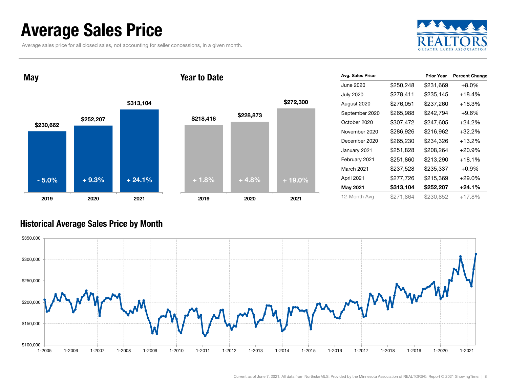### Average Sales Price

Average sales price for all closed sales, not accounting for seller concessions, in a given month.



May

#### Year to Date



| Avg. Sales Price  |           | <b>Prior Year</b> | <b>Percent Change</b> |
|-------------------|-----------|-------------------|-----------------------|
| June 2020         | \$250,248 | \$231,669         | $+8.0%$               |
| <b>July 2020</b>  | \$278,411 | \$235,145         | $+18.4%$              |
| August 2020       | \$276,051 | \$237,260         | $+16.3%$              |
| September 2020    | \$265,988 | \$242,794         | $+9.6%$               |
| October 2020      | \$307,472 | \$247,605         | $+24.2\%$             |
| November 2020     | \$286,926 | \$216,962         | $+32.2\%$             |
| December 2020     | \$265,230 | \$234,326         | $+13.2%$              |
| January 2021      | \$251,828 | \$208,264         | $+20.9%$              |
| February 2021     | \$251,860 | \$213,290         | $+18.1%$              |
| <b>March 2021</b> | \$237,528 | \$235,337         | $+0.9%$               |
| April 2021        | \$277,726 | \$215,369         | $+29.0%$              |
| <b>May 2021</b>   | \$313,104 | \$252,207         | $+24.1%$              |
| 12-Month Avg      | \$271.864 | \$230,852         | $+17.8%$              |

#### Historical Average Sales Price by Month

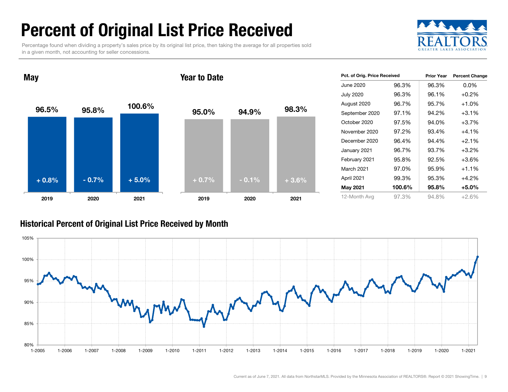## Percent of Original List Price Received

Percentage found when dividing a property's sales price by its original list price, then taking the average for all properties sold in a given month, not accounting for seller concessions.



96.5% 95.8% $\%$  100.6% 2019 2020 2021 95.0% 94.9% 98.3% 2019 2020 2021 Year to Date<sup>+</sup> 0.8% $-0.7%$ 5.0% $+ 0.7\%$  - 0.1% + 3.6%

| Pct. of Orig. Price Received |        | <b>Prior Year</b> | <b>Percent Change</b> |  |
|------------------------------|--------|-------------------|-----------------------|--|
| June 2020                    | 96.3%  | 96.3%             | $0.0\%$               |  |
| <b>July 2020</b>             | 96.3%  | 96.1%             | $+0.2%$               |  |
| August 2020                  | 96.7%  | 95.7%             | $+1.0%$               |  |
| September 2020               | 97.1%  | 94.2%             | $+3.1%$               |  |
| October 2020                 | 97.5%  | 94.0%             | $+3.7%$               |  |
| November 2020                | 97.2%  | 93.4%             | $+4.1\%$              |  |
| December 2020                | 96.4%  | 94.4%             | $+2.1%$               |  |
| January 2021                 | 96.7%  | 93.7%             | $+3.2%$               |  |
| February 2021                | 95.8%  | 92.5%             | $+3.6%$               |  |
| <b>March 2021</b>            | 97.0%  | 95.9%             | $+1.1%$               |  |
| April 2021                   | 99.3%  | 95.3%             | $+4.2%$               |  |
| <b>May 2021</b>              | 100.6% | 95.8%             | $+5.0\%$              |  |
| 12-Month Avg                 | 97.3%  | 94.8%             | +2.6%                 |  |

#### Historical Percent of Original List Price Received by Month



May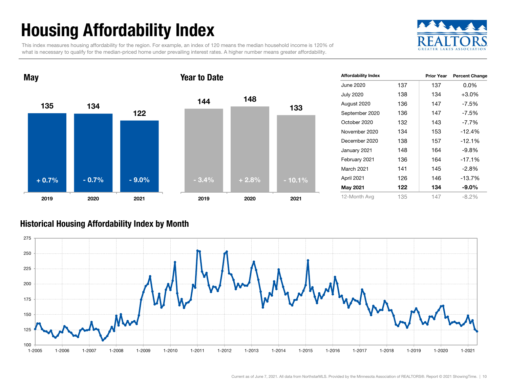### Housing Affordability Index

This index measures housing affordability for the region. For example, an index of 120 means the median household income is 120% of what is necessary to qualify for the median-priced home under prevailing interest rates. A higher number means greater affordability.





| <b>Affordability Index</b> |     | <b>Prior Year</b> | <b>Percent Change</b> |
|----------------------------|-----|-------------------|-----------------------|
| June 2020                  | 137 | 137               | $0.0\%$               |
| <b>July 2020</b>           | 138 | 134               | $+3.0\%$              |
| August 2020                | 136 | 147               | $-7.5%$               |
| September 2020             | 136 | 147               | $-7.5%$               |
| October 2020               | 132 | 143               | $-7.7\%$              |
| November 2020              | 134 | 153               | $-12.4%$              |
| December 2020              | 138 | 157               | $-12.1%$              |
| January 2021               | 148 | 164               | $-9.8%$               |
| February 2021              | 136 | 164               | $-17.1%$              |
| <b>March 2021</b>          | 141 | 145               | $-2.8%$               |
| April 2021                 | 126 | 146               | $-13.7%$              |
| <b>May 2021</b>            | 122 | 134               | $-9.0\%$              |
| 12-Month Avg               | 135 | 147               | $-8.2%$               |

#### Historical Housing Affordability Index by Mont h

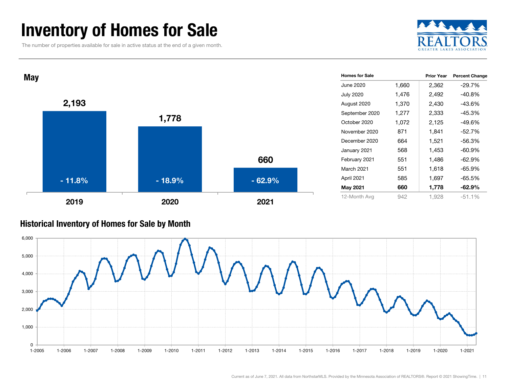### Inventory of Homes for Sale

The number of properties available for sale in active status at the end of a given month.





#### Historical Inventory of Homes for Sale by Month

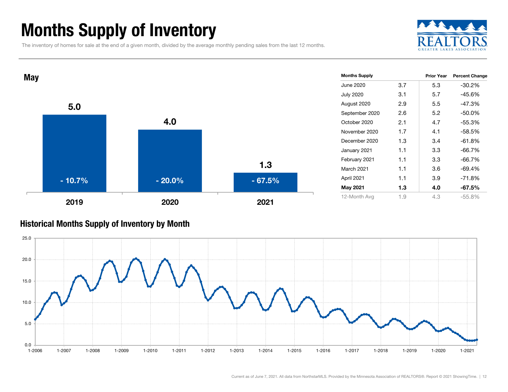### Months Supply of Inventory

The inventory of homes for sale at the end of a given month, divided by the average monthly pending sales from the last 12 months.





#### Historical Months Supply of Inventory by Month

![](_page_11_Figure_5.jpeg)